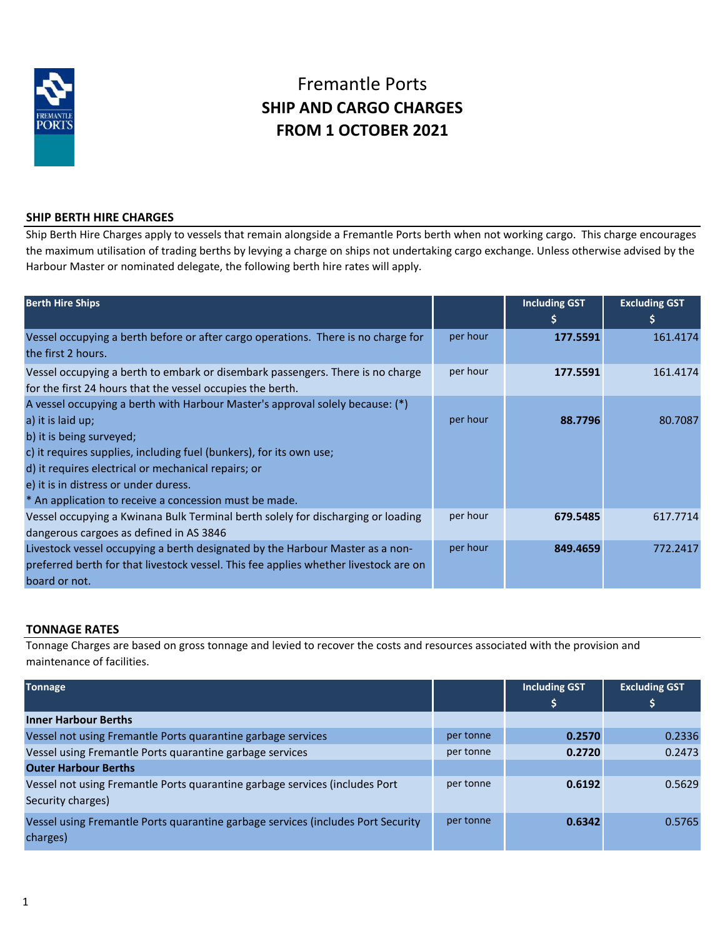

# Fremantle Ports **SHIP AND CARGO CHARGES FROM 1 OCTOBER 2021**

# **SHIP BERTH HIRE CHARGES**

Ship Berth Hire Charges apply to vessels that remain alongside a Fremantle Ports berth when not working cargo. This charge encourages the maximum utilisation of trading berths by levying a charge on ships not undertaking cargo exchange. Unless otherwise advised by the Harbour Master or nominated delegate, the following berth hire rates will apply.

| <b>Berth Hire Ships</b>                                                                                                                                                                                                                                                                                                                                         |          | <b>Including GST</b><br>\$ | <b>Excluding GST</b><br>\$ |
|-----------------------------------------------------------------------------------------------------------------------------------------------------------------------------------------------------------------------------------------------------------------------------------------------------------------------------------------------------------------|----------|----------------------------|----------------------------|
| Vessel occupying a berth before or after cargo operations. There is no charge for<br>the first 2 hours.                                                                                                                                                                                                                                                         | per hour | 177.5591                   | 161.4174                   |
| Vessel occupying a berth to embark or disembark passengers. There is no charge<br>for the first 24 hours that the vessel occupies the berth.                                                                                                                                                                                                                    | per hour | 177.5591                   | 161.4174                   |
| A vessel occupying a berth with Harbour Master's approval solely because: (*)<br>a) it is laid up;<br>b) it is being surveyed;<br>c) it requires supplies, including fuel (bunkers), for its own use;<br>d) it requires electrical or mechanical repairs; or<br>e) it is in distress or under duress.<br>* An application to receive a concession must be made. | per hour | 88.7796                    | 80.7087                    |
| Vessel occupying a Kwinana Bulk Terminal berth solely for discharging or loading<br>dangerous cargoes as defined in AS 3846                                                                                                                                                                                                                                     | per hour | 679.5485                   | 617.7714                   |
| Livestock vessel occupying a berth designated by the Harbour Master as a non-<br>preferred berth for that livestock vessel. This fee applies whether livestock are on<br>board or not.                                                                                                                                                                          | per hour | 849.4659                   | 772.2417                   |

# **TONNAGE RATES**

Tonnage Charges are based on gross tonnage and levied to recover the costs and resources associated with the provision and maintenance of facilities.

| <b>Tonnage</b>                                                                   |           | <b>Including GST</b> | <b>Excluding GST</b> |
|----------------------------------------------------------------------------------|-----------|----------------------|----------------------|
|                                                                                  |           | \$                   | Ş                    |
| <b>Inner Harbour Berths</b>                                                      |           |                      |                      |
| Vessel not using Fremantle Ports quarantine garbage services                     | per tonne | 0.2570               | 0.2336               |
| Vessel using Fremantle Ports quarantine garbage services                         | per tonne | 0.2720               | 0.2473               |
| <b>Outer Harbour Berths</b>                                                      |           |                      |                      |
| Vessel not using Fremantle Ports quarantine garbage services (includes Port      | per tonne | 0.6192               | 0.5629               |
| Security charges)                                                                |           |                      |                      |
| Vessel using Fremantle Ports quarantine garbage services (includes Port Security | per tonne | 0.6342               | 0.5765               |
| charges)                                                                         |           |                      |                      |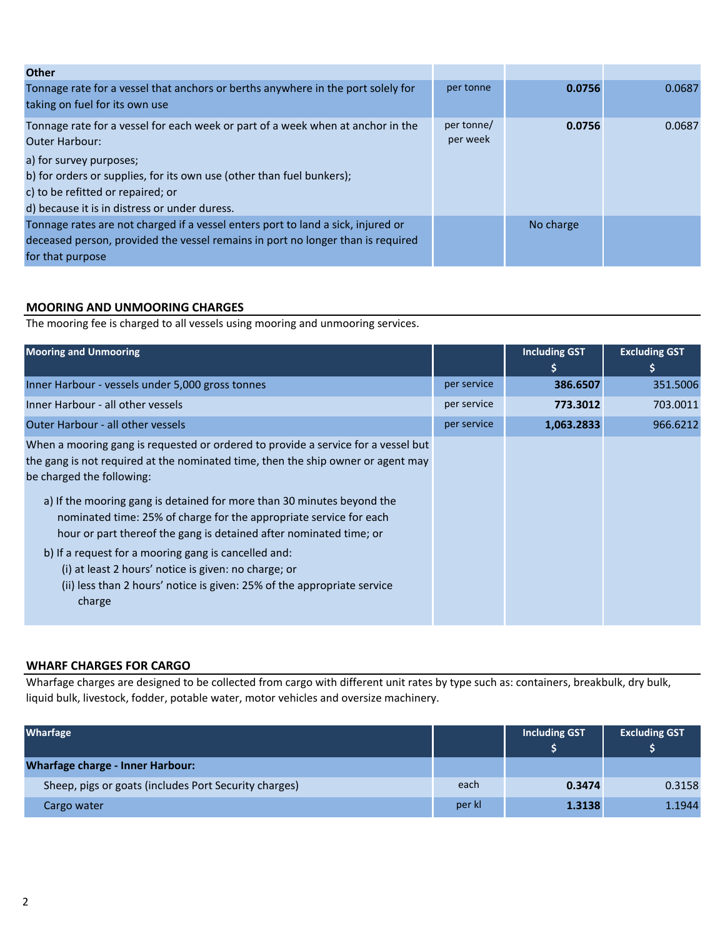| <b>Other</b>                                                                                                                                                                                                                                                                                       |                        |           |        |
|----------------------------------------------------------------------------------------------------------------------------------------------------------------------------------------------------------------------------------------------------------------------------------------------------|------------------------|-----------|--------|
| Tonnage rate for a vessel that anchors or berths anywhere in the port solely for<br>taking on fuel for its own use                                                                                                                                                                                 | per tonne              | 0.0756    | 0.0687 |
| Tonnage rate for a vessel for each week or part of a week when at anchor in the<br><b>Outer Harbour:</b><br>a) for survey purposes;<br>b) for orders or supplies, for its own use (other than fuel bunkers);<br>c) to be refitted or repaired; or<br>d) because it is in distress or under duress. | per tonne/<br>per week | 0.0756    | 0.0687 |
| Tonnage rates are not charged if a vessel enters port to land a sick, injured or<br>deceased person, provided the vessel remains in port no longer than is required<br>for that purpose                                                                                                            |                        | No charge |        |

# **MOORING AND UNMOORING CHARGES**

The mooring fee is charged to all vessels using mooring and unmooring services.

| <b>Mooring and Unmooring</b>                                                                                                                                                                                                                                                                                                                                                                                                                                                                                                                                                                                                  |             | <b>Including GST</b><br>I\$' | <b>Excluding GST</b><br>\$ |
|-------------------------------------------------------------------------------------------------------------------------------------------------------------------------------------------------------------------------------------------------------------------------------------------------------------------------------------------------------------------------------------------------------------------------------------------------------------------------------------------------------------------------------------------------------------------------------------------------------------------------------|-------------|------------------------------|----------------------------|
| Inner Harbour - vessels under 5,000 gross tonnes                                                                                                                                                                                                                                                                                                                                                                                                                                                                                                                                                                              | per service | 386.6507                     | 351.5006                   |
| Inner Harbour - all other vessels                                                                                                                                                                                                                                                                                                                                                                                                                                                                                                                                                                                             | per service | 773.3012                     | 703.0011                   |
| Outer Harbour - all other vessels                                                                                                                                                                                                                                                                                                                                                                                                                                                                                                                                                                                             | per service | 1,063.2833                   | 966.6212                   |
| When a mooring gang is requested or ordered to provide a service for a vessel but<br>the gang is not required at the nominated time, then the ship owner or agent may<br>be charged the following:<br>a) If the mooring gang is detained for more than 30 minutes beyond the<br>nominated time: 25% of charge for the appropriate service for each<br>hour or part thereof the gang is detained after nominated time; or<br>b) If a request for a mooring gang is cancelled and:<br>(i) at least 2 hours' notice is given: no charge; or<br>(ii) less than 2 hours' notice is given: 25% of the appropriate service<br>charge |             |                              |                            |

## **WHARF CHARGES FOR CARGO**

Wharfage charges are designed to be collected from cargo with different unit rates by type such as: containers, breakbulk, dry bulk, liquid bulk, livestock, fodder, potable water, motor vehicles and oversize machinery.

| <b>Wharfage</b>                                       |        | <b>Including GST</b><br>Ŝ | <b>Excluding GST</b> |
|-------------------------------------------------------|--------|---------------------------|----------------------|
| <b>Wharfage charge - Inner Harbour:</b>               |        |                           |                      |
| Sheep, pigs or goats (includes Port Security charges) | each   | 0.3474                    | 0.3158               |
| Cargo water                                           | per kl | 1.3138                    | 1.1944               |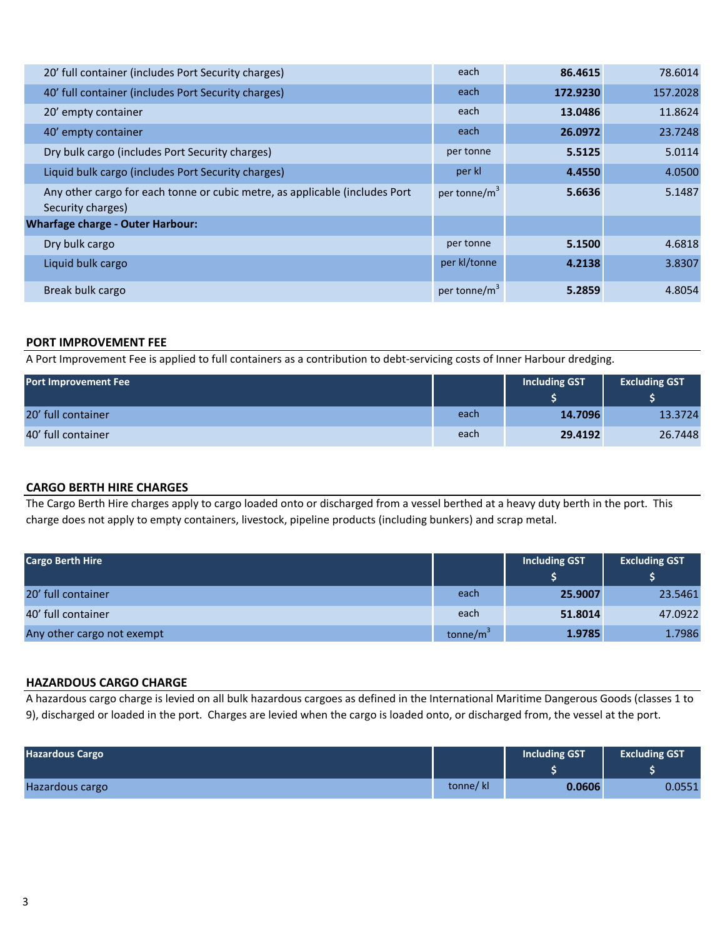| 20' full container (includes Port Security charges)                                              | each                     | 86.4615  | 78.6014  |
|--------------------------------------------------------------------------------------------------|--------------------------|----------|----------|
| 40' full container (includes Port Security charges)                                              | each                     | 172.9230 | 157.2028 |
| 20' empty container                                                                              | each                     | 13.0486  | 11.8624  |
| 40' empty container                                                                              | each                     | 26.0972  | 23.7248  |
| Dry bulk cargo (includes Port Security charges)                                                  | per tonne                | 5.5125   | 5.0114   |
| Liquid bulk cargo (includes Port Security charges)                                               | per kl                   | 4.4550   | 4.0500   |
| Any other cargo for each tonne or cubic metre, as applicable (includes Port<br>Security charges) | per tonne/m <sup>3</sup> | 5.6636   | 5.1487   |
| <b>Wharfage charge - Outer Harbour:</b>                                                          |                          |          |          |
| Dry bulk cargo                                                                                   | per tonne                | 5.1500   | 4.6818   |
| Liquid bulk cargo                                                                                | per kl/tonne             | 4.2138   | 3.8307   |
| Break bulk cargo                                                                                 | per tonne/m <sup>3</sup> | 5.2859   | 4.8054   |

## **PORT IMPROVEMENT FEE**

A Port Improvement Fee is applied to full containers as a contribution to debt-servicing costs of Inner Harbour dredging.

| <b>Port Improvement Fee</b> |      | Including GST | <b>Excluding GST</b> |
|-----------------------------|------|---------------|----------------------|
| 20' full container          | each | 14.7096       | 13.3724              |
| 40' full container          | each | 29.4192       | 26.7448              |

## **CARGO BERTH HIRE CHARGES**

The Cargo Berth Hire charges apply to cargo loaded onto or discharged from a vessel berthed at a heavy duty berth in the port. This charge does not apply to empty containers, livestock, pipeline products (including bunkers) and scrap metal.

| <b>Cargo Berth Hire</b>    |                      | <b>Including GST</b> | <b>Excluding GST</b> |
|----------------------------|----------------------|----------------------|----------------------|
| 20' full container         | each                 | 25.9007              | 23.5461              |
| 40' full container         | each                 | 51.8014              | 47.0922              |
| Any other cargo not exempt | tonne/m <sup>3</sup> | 1.9785               | 1.7986               |

#### **HAZARDOUS CARGO CHARGE**

A hazardous cargo charge is levied on all bulk hazardous cargoes as defined in the International Maritime Dangerous Goods (classes 1 to 9), discharged or loaded in the port. Charges are levied when the cargo is loaded onto, or discharged from, the vessel at the port.

| <b>Hazardous Cargo</b> |          | Including GST | <b>Excluding GST</b> |
|------------------------|----------|---------------|----------------------|
| Hazardous cargo        | tonne/kl | 0.0606        | 0.0551               |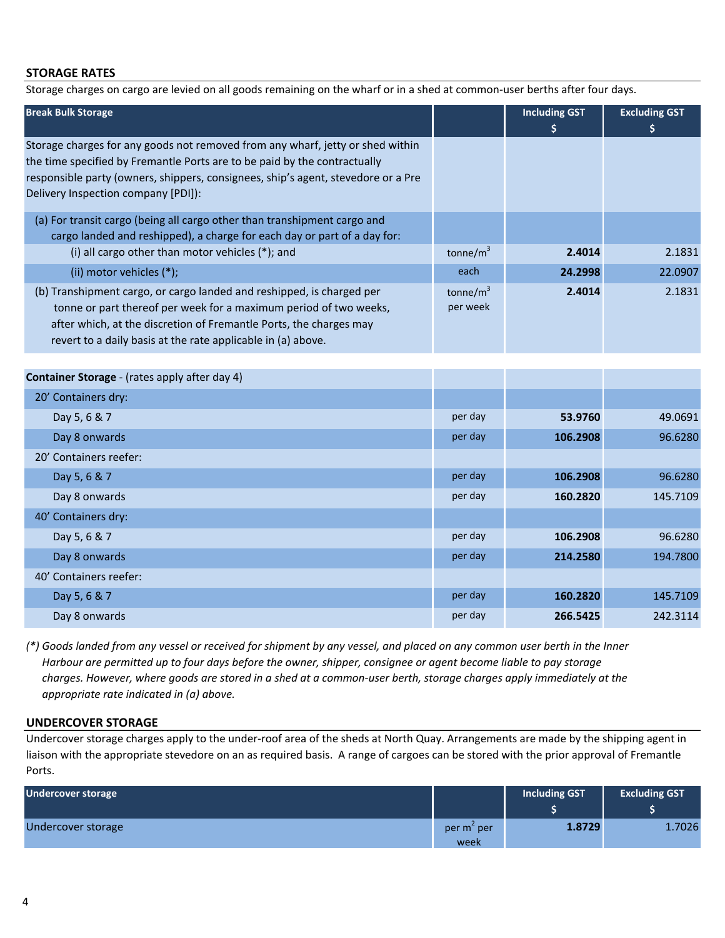#### **STORAGE RATES**

Storage charges on cargo are levied on all goods remaining on the wharf or in a shed at common-user berths after four days.

| <b>Break Bulk Storage</b>                                                                                                                                                                                                                                                               |                          | <b>Including GST</b><br>\$ | <b>Excluding GST</b><br>S |
|-----------------------------------------------------------------------------------------------------------------------------------------------------------------------------------------------------------------------------------------------------------------------------------------|--------------------------|----------------------------|---------------------------|
| Storage charges for any goods not removed from any wharf, jetty or shed within<br>the time specified by Fremantle Ports are to be paid by the contractually<br>responsible party (owners, shippers, consignees, ship's agent, stevedore or a Pre<br>Delivery Inspection company [PDI]): |                          |                            |                           |
| (a) For transit cargo (being all cargo other than transhipment cargo and<br>cargo landed and reshipped), a charge for each day or part of a day for:                                                                                                                                    |                          |                            |                           |
| (i) all cargo other than motor vehicles (*); and                                                                                                                                                                                                                                        | tonne/ $m^3$             | 2.4014                     | 2.1831                    |
| (ii) motor vehicles (*);                                                                                                                                                                                                                                                                | each                     | 24.2998                    | 22.0907                   |
| (b) Transhipment cargo, or cargo landed and reshipped, is charged per<br>tonne or part thereof per week for a maximum period of two weeks,<br>after which, at the discretion of Fremantle Ports, the charges may<br>revert to a daily basis at the rate applicable in (a) above.        | tonne/ $m^3$<br>per week | 2.4014                     | 2.1831                    |

| Container Storage - (rates apply after day 4) |         |          |          |
|-----------------------------------------------|---------|----------|----------|
| 20' Containers dry:                           |         |          |          |
| Day 5, 6 & 7                                  | per day | 53.9760  | 49.0691  |
| Day 8 onwards                                 | per day | 106.2908 | 96.6280  |
| 20' Containers reefer:                        |         |          |          |
| Day 5, 6 & 7                                  | per day | 106.2908 | 96.6280  |
| Day 8 onwards                                 | per day | 160.2820 | 145.7109 |
| 40' Containers dry:                           |         |          |          |
| Day 5, 6 & 7                                  | per day | 106.2908 | 96.6280  |
| Day 8 onwards                                 | per day | 214.2580 | 194.7800 |
| 40' Containers reefer:                        |         |          |          |
| Day 5, 6 & 7                                  | per day | 160.2820 | 145.7109 |
| Day 8 onwards                                 | per day | 266.5425 | 242.3114 |

*(\*) Goods landed from any vessel or received for shipment by any vessel, and placed on any common user berth in the Inner Harbour are permitted up to four days before the owner, shipper, consignee or agent become liable to pay storage charges. However, where goods are stored in a shed at a common-user berth, storage charges apply immediately at the appropriate rate indicated in (a) above.*

#### **UNDERCOVER STORAGE**

Undercover storage charges apply to the under-roof area of the sheds at North Quay. Arrangements are made by the shipping agent in liaison with the appropriate stevedore on an as required basis. A range of cargoes can be stored with the prior approval of Fremantle Ports.

| <b>Undercover storage</b> |                                | Including GST | <b>Excluding GST</b> |
|---------------------------|--------------------------------|---------------|----------------------|
| Undercover storage        | per m <sup>-</sup> per<br>week | 1.8729        | 1.7026               |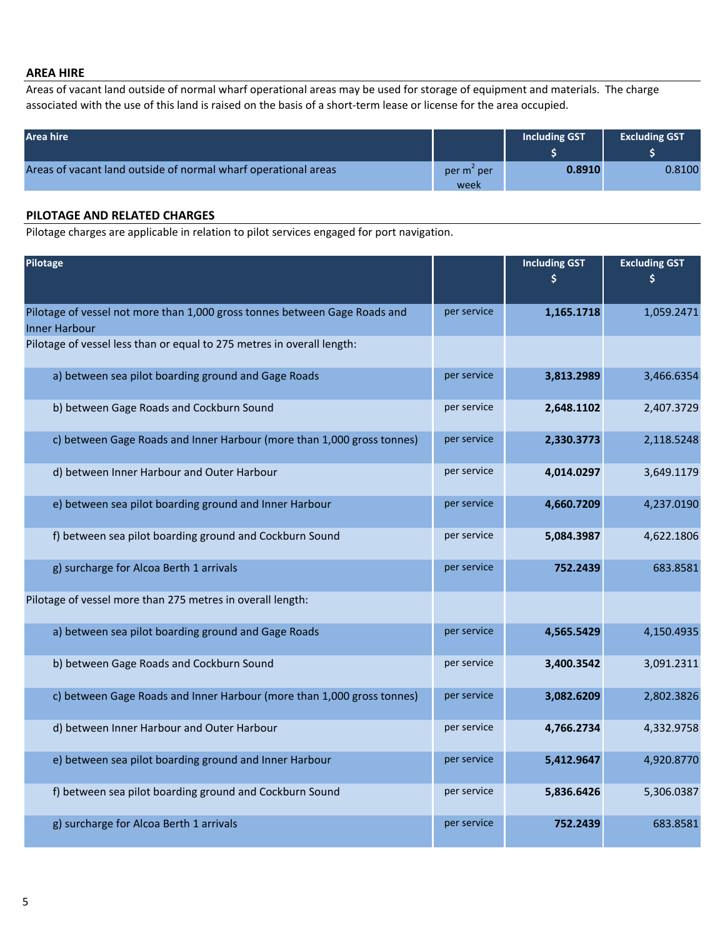#### **AREA HIRE**

Areas of vacant land outside of normal wharf operational areas may be used for storage of equipment and materials. The charge associated with the use of this land is raised on the basis of a short-term lease or license for the area occupied.

| Area hire                                                      |                                | Including GST | <b>Excluding GST</b> |
|----------------------------------------------------------------|--------------------------------|---------------|----------------------|
| Areas of vacant land outside of normal wharf operational areas | per m <sup>2</sup> per<br>week | 0.8910        | 0.8100               |

## **PILOTAGE AND RELATED CHARGES**

Pilotage charges are applicable in relation to pilot services engaged for port navigation.

| Pilotage                                                                                           |             | <b>Including GST</b><br>\$ | <b>Excluding GST</b><br>\$ |
|----------------------------------------------------------------------------------------------------|-------------|----------------------------|----------------------------|
|                                                                                                    |             |                            |                            |
| Pilotage of vessel not more than 1,000 gross tonnes between Gage Roads and<br><b>Inner Harbour</b> | per service | 1,165.1718                 | 1,059.2471                 |
| Pilotage of vessel less than or equal to 275 metres in overall length:                             |             |                            |                            |
| a) between sea pilot boarding ground and Gage Roads                                                | per service | 3,813.2989                 | 3,466.6354                 |
| b) between Gage Roads and Cockburn Sound                                                           | per service | 2,648.1102                 | 2,407.3729                 |
| c) between Gage Roads and Inner Harbour (more than 1,000 gross tonnes)                             | per service | 2,330.3773                 | 2,118.5248                 |
| d) between Inner Harbour and Outer Harbour                                                         | per service | 4,014.0297                 | 3,649.1179                 |
| e) between sea pilot boarding ground and Inner Harbour                                             | per service | 4,660.7209                 | 4,237.0190                 |
| f) between sea pilot boarding ground and Cockburn Sound                                            | per service | 5,084.3987                 | 4,622.1806                 |
| g) surcharge for Alcoa Berth 1 arrivals                                                            | per service | 752.2439                   | 683.8581                   |
| Pilotage of vessel more than 275 metres in overall length:                                         |             |                            |                            |
| a) between sea pilot boarding ground and Gage Roads                                                | per service | 4,565.5429                 | 4,150.4935                 |
| b) between Gage Roads and Cockburn Sound                                                           | per service | 3,400.3542                 | 3,091.2311                 |
| c) between Gage Roads and Inner Harbour (more than 1,000 gross tonnes)                             | per service | 3,082.6209                 | 2,802.3826                 |
| d) between Inner Harbour and Outer Harbour                                                         | per service | 4,766.2734                 | 4,332.9758                 |
| e) between sea pilot boarding ground and Inner Harbour                                             | per service | 5,412.9647                 | 4,920.8770                 |
| f) between sea pilot boarding ground and Cockburn Sound                                            | per service | 5,836.6426                 | 5,306.0387                 |
| g) surcharge for Alcoa Berth 1 arrivals                                                            | per service | 752.2439                   | 683.8581                   |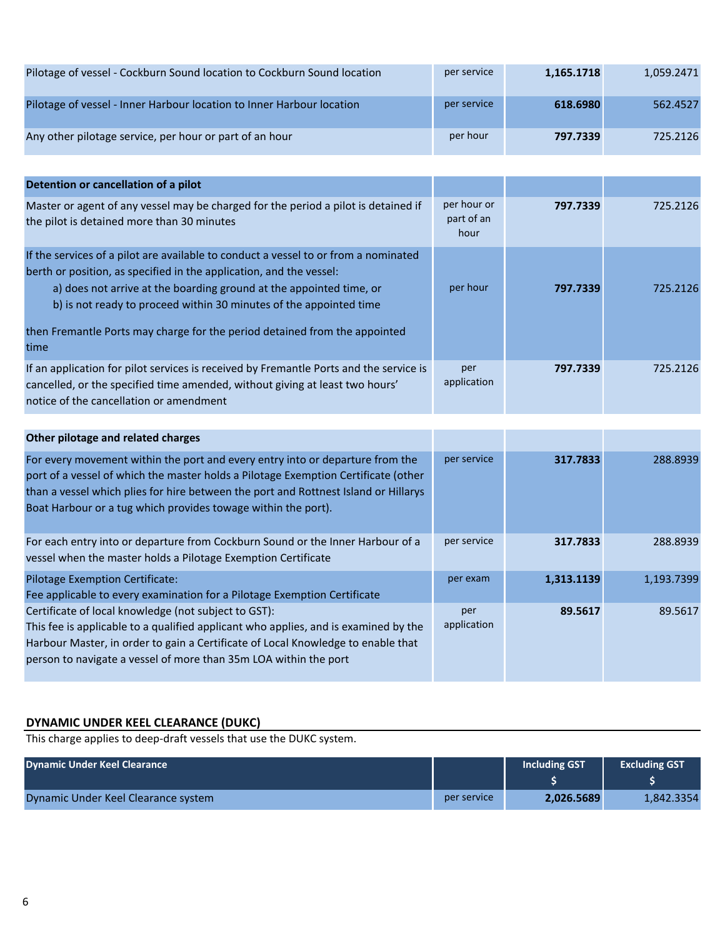| Pilotage of vessel - Cockburn Sound location to Cockburn Sound location | per service | 1,165.1718 | 1,059.2471 |
|-------------------------------------------------------------------------|-------------|------------|------------|
| Pilotage of vessel - Inner Harbour location to Inner Harbour location   | per service | 618.6980   | 562.4527   |
| Any other pilotage service, per hour or part of an hour                 | per hour    | 797.7339   | 725.2126   |

| Detention or cancellation of a pilot                                                                                                                                                                                                                                                                                                                                                          |                                   |          |          |
|-----------------------------------------------------------------------------------------------------------------------------------------------------------------------------------------------------------------------------------------------------------------------------------------------------------------------------------------------------------------------------------------------|-----------------------------------|----------|----------|
| Master or agent of any vessel may be charged for the period a pilot is detained if<br>the pilot is detained more than 30 minutes                                                                                                                                                                                                                                                              | per hour or<br>part of an<br>hour | 797.7339 | 725.2126 |
| If the services of a pilot are available to conduct a vessel to or from a nominated<br>berth or position, as specified in the application, and the vessel:<br>a) does not arrive at the boarding ground at the appointed time, or<br>b) is not ready to proceed within 30 minutes of the appointed time<br>then Fremantle Ports may charge for the period detained from the appointed<br>time | per hour                          | 797.7339 | 725.2126 |
| If an application for pilot services is received by Fremantle Ports and the service is<br>cancelled, or the specified time amended, without giving at least two hours'<br>notice of the cancellation or amendment                                                                                                                                                                             | per<br>application                | 797.7339 | 725.2126 |

| Other pilotage and related charges                                                                                                                                                                                                                                                                                          |                    |            |            |
|-----------------------------------------------------------------------------------------------------------------------------------------------------------------------------------------------------------------------------------------------------------------------------------------------------------------------------|--------------------|------------|------------|
| For every movement within the port and every entry into or departure from the<br>port of a vessel of which the master holds a Pilotage Exemption Certificate (other<br>than a vessel which plies for hire between the port and Rottnest Island or Hillarys<br>Boat Harbour or a tug which provides towage within the port). | per service        | 317.7833   | 288.8939   |
| For each entry into or departure from Cockburn Sound or the Inner Harbour of a<br>vessel when the master holds a Pilotage Exemption Certificate                                                                                                                                                                             | per service        | 317.7833   | 288.8939   |
| <b>Pilotage Exemption Certificate:</b><br>Fee applicable to every examination for a Pilotage Exemption Certificate                                                                                                                                                                                                          | per exam           | 1,313.1139 | 1,193.7399 |
| Certificate of local knowledge (not subject to GST):<br>This fee is applicable to a qualified applicant who applies, and is examined by the<br>Harbour Master, in order to gain a Certificate of Local Knowledge to enable that<br>person to navigate a vessel of more than 35m LOA within the port                         | per<br>application | 89.5617    | 89.5617    |

# **DYNAMIC UNDER KEEL CLEARANCE (DUKC)**

This charge applies to deep-draft vessels that use the DUKC system.

| <b>Dynamic Under Keel Clearance</b> |             | Including GST | <b>Excluding GST</b> |
|-------------------------------------|-------------|---------------|----------------------|
| Dynamic Under Keel Clearance system | per service | 2.026.5689    | 1.842.3354           |